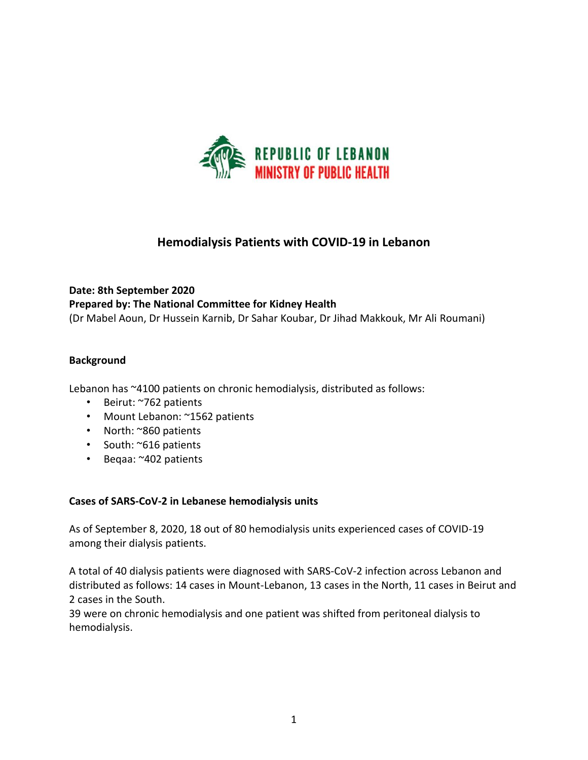

# **Hemodialysis Patients with COVID-19 in Lebanon**

# **Date: 8th September 2020 Prepared by: The National Committee for Kidney Health** (Dr Mabel Aoun, Dr Hussein Karnib, Dr Sahar Koubar, Dr Jihad Makkouk, Mr Ali Roumani)

## **Background**

Lebanon has ~4100 patients on chronic hemodialysis, distributed as follows:

- Beirut: ~762 patients
- Mount Lebanon: ~1562 patients
- North: ~860 patients
- South: ~616 patients
- Beqaa: ~402 patients

#### **Cases of SARS-CoV-2 in Lebanese hemodialysis units**

As of September 8, 2020, 18 out of 80 hemodialysis units experienced cases of COVID-19 among their dialysis patients.

A total of 40 dialysis patients were diagnosed with SARS-CoV-2 infection across Lebanon and distributed as follows: 14 cases in Mount-Lebanon, 13 cases in the North, 11 cases in Beirut and 2 cases in the South.

39 were on chronic hemodialysis and one patient was shifted from peritoneal dialysis to hemodialysis.